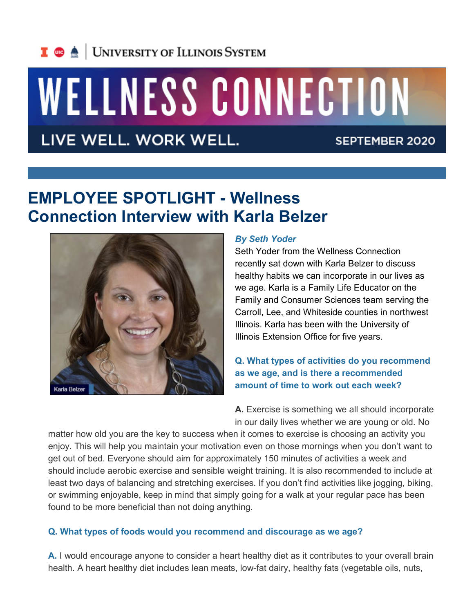## I **C**  $\triangle$  UNIVERSITY OF ILLINOIS SYSTEM

# WELLNESS CONNECTION

LIVE WELL. WORK WELL.

SEPTEMBER 2020

### **EMPLOYEE SPOTLIGHT - Wellness Connection Interview with Karla Belzer**



#### *By Seth Yoder*

Seth Yoder from the Wellness Connection recently sat down with Karla Belzer to discuss healthy habits we can incorporate in our lives as we age. Karla is a Family Life Educator on the Family and Consumer Sciences team serving the Carroll, Lee, and Whiteside counties in northwest Illinois. Karla has been with the University of Illinois Extension Office for five years.

**Q. What types of activities do you recommend as we age, and is there a recommended amount of time to work out each week?**

**A.** Exercise is something we all should incorporate in our daily lives whether we are young or old. No

matter how old you are the key to success when it comes to exercise is choosing an activity you enjoy. This will help you maintain your motivation even on those mornings when you don't want to get out of bed. Everyone should aim for approximately 150 minutes of activities a week and should include aerobic exercise and sensible weight training. It is also recommended to include at least two days of balancing and stretching exercises. If you don't find activities like jogging, biking, or swimming enjoyable, keep in mind that simply going for a walk at your regular pace has been found to be more beneficial than not doing anything.

#### **Q. What types of foods would you recommend and discourage as we age?**

**A.** I would encourage anyone to consider a heart healthy diet as it contributes to your overall brain health. A heart healthy diet includes lean meats, low-fat dairy, healthy fats (vegetable oils, nuts,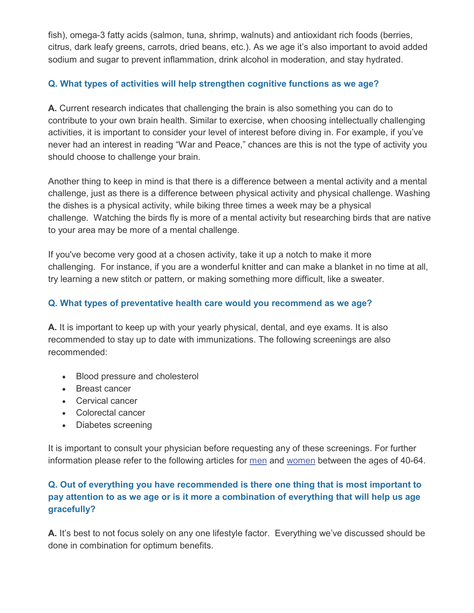fish), omega-3 fatty acids (salmon, tuna, shrimp, walnuts) and antioxidant rich foods (berries, citrus, dark leafy greens, carrots, dried beans, etc.). As we age it's also important to avoid added sodium and sugar to prevent inflammation, drink alcohol in moderation, and stay hydrated.

#### **Q. What types of activities will help strengthen cognitive functions as we age?**

**A.** Current research indicates that challenging the brain is also something you can do to contribute to your own brain health. Similar to exercise, when choosing intellectually challenging activities, it is important to consider your level of interest before diving in. For example, if you've never had an interest in reading "War and Peace," chances are this is not the type of activity you should choose to challenge your brain.

Another thing to keep in mind is that there is a difference between a mental activity and a mental challenge, just as there is a difference between physical activity and physical challenge. Washing the dishes is a physical activity, while biking three times a week may be a physical challenge. Watching the birds fly is more of a mental activity but researching birds that are native to your area may be more of a mental challenge.

If you've become very good at a chosen activity, take it up a notch to make it more challenging. For instance, if you are a wonderful knitter and can make a blanket in no time at all, try learning a new stitch or pattern, or making something more difficult, like a sweater.

#### **Q. What types of preventative health care would you recommend as we age?**

**A.** It is important to keep up with your yearly physical, dental, and eye exams. It is also recommended to stay up to date with immunizations. The following screenings are also recommended:

- Blood pressure and cholesterol
- Breast cancer
- Cervical cancer
- Colorectal cancer
- Diabetes screening

It is important to consult your physician before requesting any of these screenings. For further information please refer to the following articles for [men](https://medlineplus.gov/ency/article/007465.htm) and [women](https://medlineplus.gov/ency/article/007467.htm) between the ages of 40-64.

#### **Q. Out of everything you have recommended is there one thing that is most important to pay attention to as we age or is it more a combination of everything that will help us age gracefully?**

**A.** It's best to not focus solely on any one lifestyle factor. Everything we've discussed should be done in combination for optimum benefits.